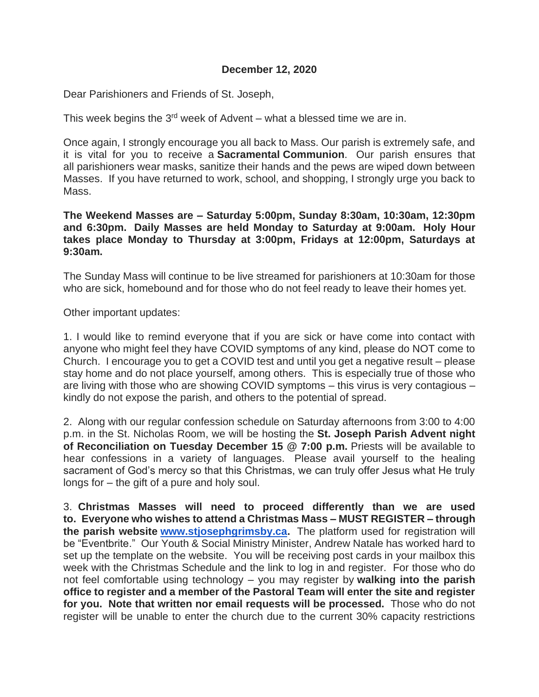## **December 12, 2020**

Dear Parishioners and Friends of St. Joseph,

This week begins the 3<sup>rd</sup> week of Advent – what a blessed time we are in.

Once again, I strongly encourage you all back to Mass. Our parish is extremely safe, and it is vital for you to receive a **Sacramental Communion**. Our parish ensures that all parishioners wear masks, sanitize their hands and the pews are wiped down between Masses. If you have returned to work, school, and shopping, I strongly urge you back to Mass.

**The Weekend Masses are – Saturday 5:00pm, Sunday 8:30am, 10:30am, 12:30pm and 6:30pm. Daily Masses are held Monday to Saturday at 9:00am. Holy Hour takes place Monday to Thursday at 3:00pm, Fridays at 12:00pm, Saturdays at 9:30am.**

The Sunday Mass will continue to be live streamed for parishioners at 10:30am for those who are sick, homebound and for those who do not feel ready to leave their homes yet.

Other important updates:

1. I would like to remind everyone that if you are sick or have come into contact with anyone who might feel they have COVID symptoms of any kind, please do NOT come to Church. I encourage you to get a COVID test and until you get a negative result – please stay home and do not place yourself, among others. This is especially true of those who are living with those who are showing COVID symptoms – this virus is very contagious – kindly do not expose the parish, and others to the potential of spread.

2. Along with our regular confession schedule on Saturday afternoons from 3:00 to 4:00 p.m. in the St. Nicholas Room, we will be hosting the **St. Joseph Parish Advent night of Reconciliation on Tuesday December 15 @ 7:00 p.m.** Priests will be available to hear confessions in a variety of languages. Please avail yourself to the healing sacrament of God's mercy so that this Christmas, we can truly offer Jesus what He truly longs for – the gift of a pure and holy soul.

3. **Christmas Masses will need to proceed differently than we are used to. Everyone who wishes to attend a Christmas Mass – MUST REGISTER – through the parish website [www.stjosephgrimsby.ca.](http://www.stjosephgrimsby.ca/)** The platform used for registration will be "Eventbrite." Our Youth & Social Ministry Minister, Andrew Natale has worked hard to set up the template on the website. You will be receiving post cards in your mailbox this week with the Christmas Schedule and the link to log in and register. For those who do not feel comfortable using technology – you may register by **walking into the parish office to register and a member of the Pastoral Team will enter the site and register for you. Note that written nor email requests will be processed.** Those who do not register will be unable to enter the church due to the current 30% capacity restrictions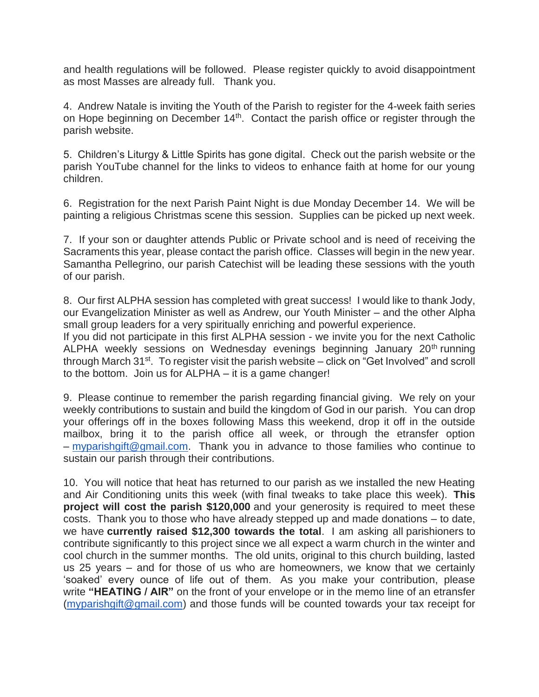and health regulations will be followed. Please register quickly to avoid disappointment as most Masses are already full. Thank you.

4. Andrew Natale is inviting the Youth of the Parish to register for the 4-week faith series on Hope beginning on December 14<sup>th</sup>. Contact the parish office or register through the parish website.

5. Children's Liturgy & Little Spirits has gone digital. Check out the parish website or the parish YouTube channel for the links to videos to enhance faith at home for our young children.

6. Registration for the next Parish Paint Night is due Monday December 14. We will be painting a religious Christmas scene this session. Supplies can be picked up next week.

7. If your son or daughter attends Public or Private school and is need of receiving the Sacraments this year, please contact the parish office. Classes will begin in the new year. Samantha Pellegrino, our parish Catechist will be leading these sessions with the youth of our parish.

8. Our first ALPHA session has completed with great success! I would like to thank Jody, our Evangelization Minister as well as Andrew, our Youth Minister – and the other Alpha small group leaders for a very spiritually enriching and powerful experience.

If you did not participate in this first ALPHA session - we invite you for the next Catholic ALPHA weekly sessions on Wednesday evenings beginning January 20<sup>th</sup> running through March 31<sup>st</sup>. To register visit the parish website – click on "Get Involved" and scroll to the bottom. Join us for ALPHA – it is a game changer!

9. Please continue to remember the parish regarding financial giving. We rely on your weekly contributions to sustain and build the kingdom of God in our parish. You can drop your offerings off in the boxes following Mass this weekend, drop it off in the outside mailbox, bring it to the parish office all week, or through the etransfer option – [myparishgift@gmail.com.](mailto:myparishgift@gmail.com) Thank you in advance to those families who continue to sustain our parish through their contributions.

10. You will notice that heat has returned to our parish as we installed the new Heating and Air Conditioning units this week (with final tweaks to take place this week). **This project will cost the parish \$120,000** and your generosity is required to meet these costs. Thank you to those who have already stepped up and made donations – to date, we have **currently raised \$12,300 towards the total**. I am asking all parishioners to contribute significantly to this project since we all expect a warm church in the winter and cool church in the summer months. The old units, original to this church building, lasted us 25 years – and for those of us who are homeowners, we know that we certainly 'soaked' every ounce of life out of them. As you make your contribution, please write **"HEATING / AIR"** on the front of your envelope or in the memo line of an etransfer [\(myparishgift@gmail.com\)](mailto:myparishgift@gmail.com) and those funds will be counted towards your tax receipt for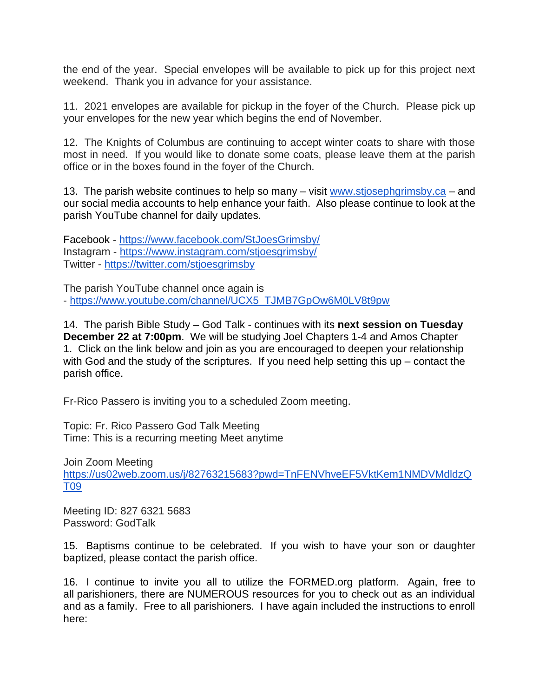the end of the year. Special envelopes will be available to pick up for this project next weekend. Thank you in advance for your assistance.

11. 2021 envelopes are available for pickup in the foyer of the Church. Please pick up your envelopes for the new year which begins the end of November.

12. The Knights of Columbus are continuing to accept winter coats to share with those most in need. If you would like to donate some coats, please leave them at the parish office or in the boxes found in the foyer of the Church.

13. The parish website continues to help so many – visit [www.stjosephgrimsby.ca](http://www.stjosephgrimsby.ca/) – and our social media accounts to help enhance your faith. Also please continue to look at the parish YouTube channel for daily updates.

Facebook - <https://www.facebook.com/StJoesGrimsby/> Instagram - <https://www.instagram.com/stjoesgrimsby/> Twitter - <https://twitter.com/stjoesgrimsby>

The parish YouTube channel once again is - [https://www.youtube.com/channel/UCX5\\_TJMB7GpOw6M0LV8t9pw](https://www.youtube.com/channel/UCX5_TJMB7GpOw6M0LV8t9pw)

14. The parish Bible Study – God Talk - continues with its **next session on Tuesday December 22 at 7:00pm**. We will be studying Joel Chapters 1-4 and Amos Chapter 1. Click on the link below and join as you are encouraged to deepen your relationship with God and the study of the scriptures. If you need help setting this up – contact the parish office.

Fr-Rico Passero is inviting you to a scheduled Zoom meeting.

Topic: Fr. Rico Passero God Talk Meeting Time: This is a recurring meeting Meet anytime

Join Zoom Meeting [https://us02web.zoom.us/j/82763215683?pwd=TnFENVhveEF5VktKem1NMDVMdldzQ](https://us02web.zoom.us/j/82763215683?pwd=TnFENVhveEF5VktKem1NMDVMdldzQT09) [T09](https://us02web.zoom.us/j/82763215683?pwd=TnFENVhveEF5VktKem1NMDVMdldzQT09)

Meeting ID: 827 6321 5683 Password: GodTalk

15. Baptisms continue to be celebrated. If you wish to have your son or daughter baptized, please contact the parish office.

16. I continue to invite you all to utilize the FORMED.org platform. Again, free to all parishioners, there are NUMEROUS resources for you to check out as an individual and as a family. Free to all parishioners. I have again included the instructions to enroll here: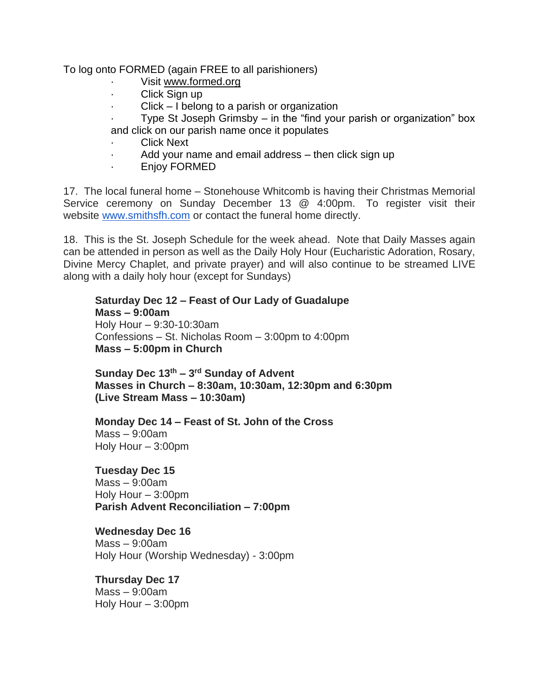To log onto FORMED (again FREE to all parishioners)

- Visit [www.formed.org](http://www.formed.org/)
- · Click Sign up
- · Click I belong to a parish or organization
- Type St Joseph Grimsby  $-$  in the "find your parish or organization" box and click on our parish name once it populates
- Click Next
- · Add your name and email address then click sign up
- Enjoy FORMED

17. The local funeral home – Stonehouse Whitcomb is having their Christmas Memorial Service ceremony on Sunday December 13 @ 4:00pm. To register visit their website [www.smithsfh.com](http://www.smithsfh.com/) or contact the funeral home directly.

18. This is the St. Joseph Schedule for the week ahead. Note that Daily Masses again can be attended in person as well as the Daily Holy Hour (Eucharistic Adoration, Rosary, Divine Mercy Chaplet, and private prayer) and will also continue to be streamed LIVE along with a daily holy hour (except for Sundays)

## **Saturday Dec 12 – Feast of Our Lady of Guadalupe Mass – 9:00am**  Holy Hour – 9:30-10:30am Confessions – St. Nicholas Room – 3:00pm to 4:00pm **Mass – 5:00pm in Church**

**Sunday Dec 13th – 3 rd Sunday of Advent Masses in Church – 8:30am, 10:30am, 12:30pm and 6:30pm (Live Stream Mass – 10:30am)**

**Monday Dec 14 – Feast of St. John of the Cross** Mass – 9:00am Holy Hour – 3:00pm

**Tuesday Dec 15** Mass – 9:00am Holy Hour – 3:00pm **Parish Advent Reconciliation – 7:00pm**

**Wednesday Dec 16** Mass – 9:00am Holy Hour (Worship Wednesday) - 3:00pm

**Thursday Dec 17** Mass – 9:00am Holy Hour – 3:00pm